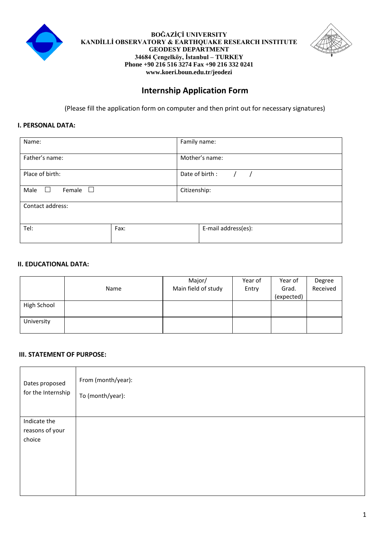

#### **BOĞAZİÇİ UNIVERSITY KANDİLLİ OBSERVATORY & EARTHQUAKE RESEARCH INSTITUTE GEODESY DEPARTMENT 34684 Çengelköy, İstanbul – TURKEY Phone +90 216 516 3274 Fax +90 216 332 0241 www.koeri.boun.edu.tr/jeodezi**



# **Internship Application Form**

(Please fill the application form on computer and then print out for necessary signatures)

## **I. PERSONAL DATA:**

| Name:                                          |      | Family name:        |  |  |  |  |
|------------------------------------------------|------|---------------------|--|--|--|--|
| Father's name:                                 |      | Mother's name:      |  |  |  |  |
| Place of birth:                                |      | Date of birth :     |  |  |  |  |
| Male<br>Female<br>$\mathbf{L}$<br>$\mathbf{L}$ |      | Citizenship:        |  |  |  |  |
| Contact address:                               |      |                     |  |  |  |  |
| Tel:                                           | Fax: | E-mail address(es): |  |  |  |  |

# **II. EDUCATIONAL DATA:**

|             |      | Major/              | Year of | Year of    | Degree   |
|-------------|------|---------------------|---------|------------|----------|
|             | Name | Main field of study | Entry   | Grad.      | Received |
|             |      |                     |         | (expected) |          |
| High School |      |                     |         |            |          |
|             |      |                     |         |            |          |
| University  |      |                     |         |            |          |
|             |      |                     |         |            |          |

### **III. STATEMENT OF PURPOSE:**

| Dates proposed                            | From (month/year): |
|-------------------------------------------|--------------------|
| for the Internship                        | To (month/year):   |
| Indicate the<br>reasons of your<br>choice |                    |